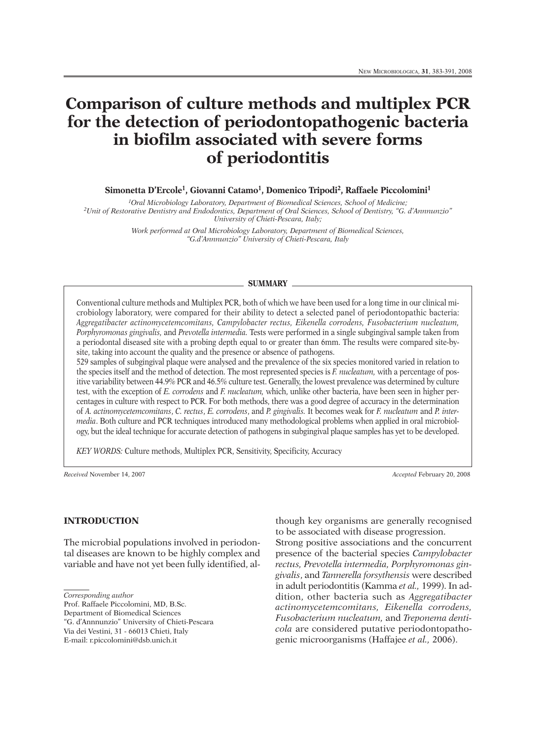# **Comparison of culture methods and multiplex PCR for the detection of periodontopathogenic bacteria in biofilm associated with severe forms of periodontitis**

**Simonetta D'Ercole1, Giovanni Catamo1, Domenico Tripodi2, Raffaele Piccolomini1**

*1Oral Microbiology Laboratory, Department of Biomedical Sciences, School of Medicine; 2Unit of Restorative Dentistry and Endodontics, Department of Oral Sciences, School of Dentistry, "G. d'Annnunzio" University of Chieti-Pescara, Italy;*

> *Work performed at Oral Microbiology Laboratory, Department of Biomedical Sciences, "G.d'Annnunzio" University of Chieti-Pescara, Italy*

#### **SUMMARY**

Conventional culture methods and Multiplex PCR, both of which we have been used for a long time in our clinical microbiology laboratory, were compared for their ability to detect a selected panel of periodontopathic bacteria: *Aggregatibacter actinomycetemcomitans, Campylobacter rectus, Eikenella corrodens, Fusobacterium nucleatum, Porphyromonas gingivalis,* and *Prevotella intermedia.* Tests were performed in a single subgingival sample taken from a periodontal diseased site with a probing depth equal to or greater than 6mm. The results were compared site-bysite, taking into account the quality and the presence or absence of pathogens.

529 samples of subgingival plaque were analysed and the prevalence of the six species monitored varied in relation to the species itself and the method of detection. The most represented species is *F. nucleatum,* with a percentage of positive variability between 44.9% PCR and 46.5% culture test. Generally, the lowest prevalence was determined by culture test, with the exception of *E. corrodens* and *F. nucleatum,* which, unlike other bacteria, have been seen in higher percentages in culture with respect to PCR. For both methods, there was a good degree of accuracy in the determination of *A. actinomycetemcomitans*, *C. rectus*, *E. corrodens*, and *P. gingivalis.* It becomes weak for *F. nucleatum* and *P. intermedia*. Both culture and PCR techniques introduced many methodological problems when applied in oral microbiology, but the ideal technique for accurate detection of pathogens in subgingival plaque samples has yet to be developed.

*KEY WORDS:* Culture methods, Multiplex PCR, Sensitivity, Specificity, Accuracy

*Received* November 14, 2007 *Accepted* February 20, 2008

## **INTRODUCTION**

The microbial populations involved in periodontal diseases are known to be highly complex and variable and have not yet been fully identified, al-

*Corresponding author*

Prof. Raffaele Piccolomini, MD, B.Sc.

Department of Biomedical Sciences

"G. d'Annnunzio" University of Chieti-Pescara Via dei Vestini, 31 - 66013 Chieti, Italy

E-mail: r.piccolomini@dsb.unich.it

to be associated with disease progression. Strong positive associations and the concurrent presence of the bacterial species *Campylobacter rectus, Prevotella intermedia, Porphyromonas gingivalis*, and *Tannerella forsythensis* were described in adult periodontitis (Kamma *et al.,* 1999). In addition, other bacteria such as *Aggregatibacter actinomycetemcomitans, Eikenella corrodens, Fusobac terium nucleatum,* and *Treponema denticola* are considered putative periodontopathogenic microorganisms (Haffajee *et al.,* 2006).

though key organisms are generally recognised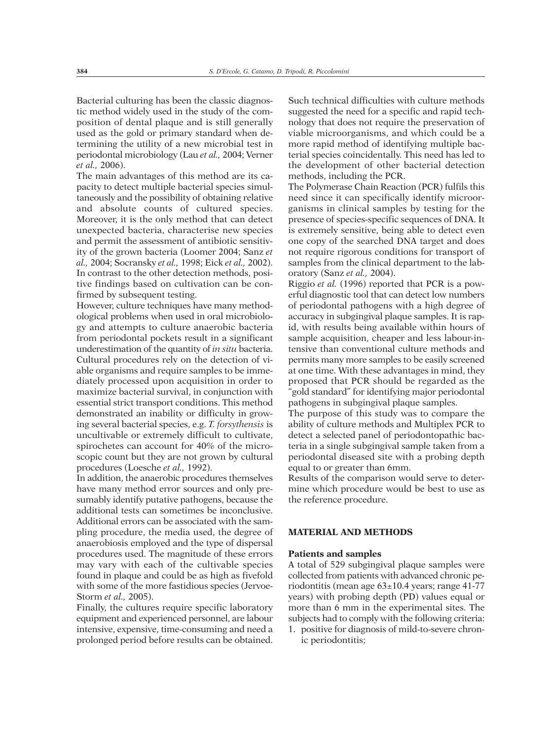Bacterial culturing has been the classic diagnostic method widely used in the study of the composition of dental plaque and is still generally used as the gold or primary standard when determining the utility of a new microbial test in periodontal microbiology (Lau *et al.,* 2004; Verner *et al.,* 2006).

The main advantages of this method are its capacity to detect multiple bacterial species simultaneously and the possibility of obtaining relative and absolute counts of cultured species. Moreover, it is the only method that can detect unexpected bacteria, characterise new species and permit the assessment of antibiotic sensitivity of the grown bacteria (Loomer 2004; Sanz *et al.,* 2004; Socransky *et al.,* 1998; Eick *et al.,* 2002). In contrast to the other detection methods, positive findings based on cultivation can be confirmed by subsequent testing.

However, culture techniques have many methodological problems when used in oral microbiology and attempts to culture anaerobic bacteria from periodontal pockets result in a significant underestimation of the quantity of *in situ* bacteria. Cultural procedures rely on the detection of viable organisms and require samples to be immediately processed upon acquisition in order to maximize bacterial survival, in conjunction with essential strict transport conditions. This method demonstrated an inability or difficulty in growing several bacterial species, e.g. *T. forsythensis* is uncultivable or extremely difficult to cultivate, spirochetes can account for 40% of the microscopic count but they are not grown by cultural procedures (Loesche *et al.,* 1992).

In addition, the anaerobic procedures themselves have many method error sources and only presumably identify putative pathogens, because the additional tests can sometimes be inconclusive. Additional errors can be associated with the sampling procedure, the media used, the degree of anaerobiosis employed and the type of dispersal procedures used. The magnitude of these errors may vary with each of the cultivable species found in plaque and could be as high as fivefold with some of the more fastidious species (Jervoe-Storm *et al.,* 2005).

Finally, the cultures require specific laboratory equipment and experienced personnel, are labour intensive, expensive, time-consuming and need a prolonged period before results can be obtained.

Such technical difficulties with culture methods suggested the need for a specific and rapid technology that does not require the preservation of viable microorganisms, and which could be a more rapid method of identifying multiple bacterial species coincidentally. This need has led to the development of other bacterial detection methods, including the PCR.

The Polymerase Chain Reaction (PCR) fulfils this need since it can specifically identify microorganisms in clinical samples by testing for the presence of species-specific sequences of DNA. It is extremely sensitive, being able to detect even one copy of the searched DNA target and does not require rigorous conditions for transport of samples from the clinical department to the laboratory (Sanz *et al.,* 2004).

Riggio *et al.* (1996) reported that PCR is a powerful diagnostic tool that can detect low numbers of periodontal pathogens with a high degree of accuracy in subgingival plaque samples. It is rapid, with results being available within hours of sample acquisition, cheaper and less labour-intensive than conventional culture methods and permits many more samples to be easily screened at one time. With these advantages in mind, they proposed that PCR should be regarded as the "gold standard" for identifying major periodontal pathogens in subgingival plaque samples.

The purpose of this study was to compare the ability of culture methods and Multiplex PCR to detect a selected panel of periodontopathic bacteria in a single subgingival sample taken from a periodontal diseased site with a probing depth equal to or greater than 6mm.

Results of the comparison would serve to determine which procedure would be best to use as the reference procedure.

# **MATERIAL AND METHODS**

#### **Patients and samples**

A total of 529 subgingival plaque samples were collected from patients with advanced chronic periodontitis (mean age 63±10.4 years; range 41-77 years) with probing depth (PD) values equal or more than 6 mm in the experimental sites. The subjects had to comply with the following criteria:

1. positive for diagnosis of mild-to-severe chronic periodontitis;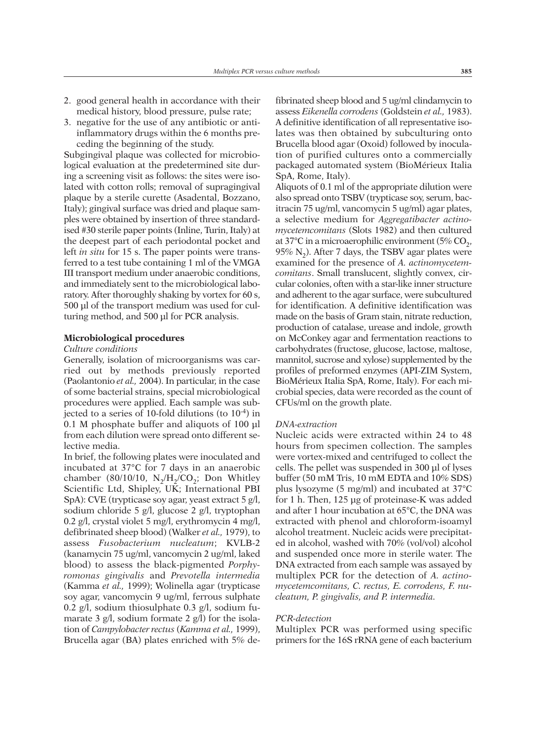- 2. good general health in accordance with their medical history, blood pressure, pulse rate;
- 3. negative for the use of any antibiotic or antiinflammatory drugs within the 6 months preceding the beginning of the study.

Subgingival plaque was collected for microbiological evaluation at the predetermined site during a screening visit as follows: the sites were isolated with cotton rolls; removal of supragingival plaque by a sterile curette (Asadental, Bozzano, Italy); gingival surface was dried and plaque samples were obtained by insertion of three standardised #30 sterile paper points (Inline, Turin, Italy) at the deepest part of each periodontal pocket and left *in situ* for 15 s. The paper points were transferred to a test tube containing 1 ml of the VMGA III transport medium under anaerobic conditions, and immediately sent to the microbiological laboratory. After thoroughly shaking by vortex for 60 s, 500 µl of the transport medium was used for culturing method, and 500 µl for PCR analysis.

## **Microbiological procedures**

## *Culture conditions*

Generally, isolation of microorganisms was carried out by methods previously reported (Paolantonio *et al.,* 2004). In particular, in the case of some bacterial strains, special microbiological procedures were applied. Each sample was subjected to a series of 10-fold dilutions (to  $10^{-4}$ ) in 0.1 M phosphate buffer and aliquots of 100 µl from each dilution were spread onto different selective media.

In brief, the following plates were inoculated and incubated at 37°C for 7 days in an anaerobic chamber (80/10/10,  $N_2/H_2/CO_2$ ; Don Whitley Scientific Ltd, Shipley, UK; International PBI SpA): CVE (trypticase soy agar, yeast extract 5 g/l, sodium chloride 5 g/l, glucose 2 g/l, tryptophan 0.2 g/l, crystal violet 5 mg/l, erythromycin 4 mg/l, defibrinated sheep blood) (Walker *et al.,* 1979), to assess *Fusobacterium nucleatum*; KVLB-2 (kanamycin 75 ug/ml, vancomycin 2 ug/ml, laked blood) to assess the black-pigmented *Porphy romonas gingivalis* and *Prevotella intermedia* (Kamma *et al.,* 1999); Wolinella agar (trypticase soy agar, vancomycin 9 ug/ml, ferrous sulphate 0.2 g/l, sodium thiosulphate 0.3 g/l, sodium fumarate 3 g/l, sodium formate 2 g/l) for the isolation of *Campylobacter rectus* (*Kamma et al.,* 1999), Brucella agar (BA) plates enriched with 5% de-

fibrinated sheep blood and 5 ug/ml clindamycin to assess *Eikenella corrodens* (Goldstein *et al.,* 1983). A definitive identification of all representative isolates was then obtained by subculturing onto Brucella blood agar (Oxoid) followed by inoculation of purified cultures onto a commercially packaged automated system (BioMérieux Italia SpA, Rome, Italy).

Aliquots of 0.1 ml of the appropriate dilution were also spread onto TSBV (trypticase soy, serum, bacitracin 75 ug/ml, vancomycin 5 ug/ml) agar plates, a selective medium for *Aggregatibacter actinomycetemcomitans* (Slots 1982) and then cultured at 37°C in a microaerophilic environment (5%  $CO<sub>2</sub>$ , 95%  $N_2$ ). After 7 days, the TSBV agar plates were examined for the presence of *A. actinomycetemcomitans*. Small translucent, slightly convex, circular colonies, often with a star-like inner structure and adherent to the agar surface, were subcultured for identification. A definitive identification was made on the basis of Gram stain, nitrate reduction, production of catalase, urease and indole, growth on McConkey agar and fermentation reactions to carbohydrates (fructose, glucose, lactose, maltose, mannitol, sucrose and xylose) supplemented by the profiles of preformed enzymes (API-ZIM System, BioMérieux Italia SpA, Rome, Italy). For each microbial species, data were recorded as the count of CFUs/ml on the growth plate.

#### *DNA-extraction*

Nucleic acids were extracted within 24 to 48 hours from specimen collection. The samples were vortex-mixed and centrifuged to collect the cells. The pellet was suspended in 300 µl of lyses buffer (50 mM Tris, 10 mM EDTA and 10% SDS) plus lysozyme (5 mg/ml) and incubated at 37°C for 1 h. Then, 125 µg of proteinase-K was added and after 1 hour incubation at 65°C, the DNA was extracted with phenol and chloroform-isoamyl alcohol treatment. Nucleic acids were precipitated in alcohol, washed with 70% (vol/vol) alcohol and suspended once more in sterile water. The DNA extracted from each sample was assayed by multiplex PCR for the detection of *A. actinomycetemcomitans, C. rectus, E. corrodens, F. nucleatum, P. gingivalis, and P. intermedia.*

## *PCR-detection*

Multiplex PCR was performed using specific primers for the 16S rRNA gene of each bacterium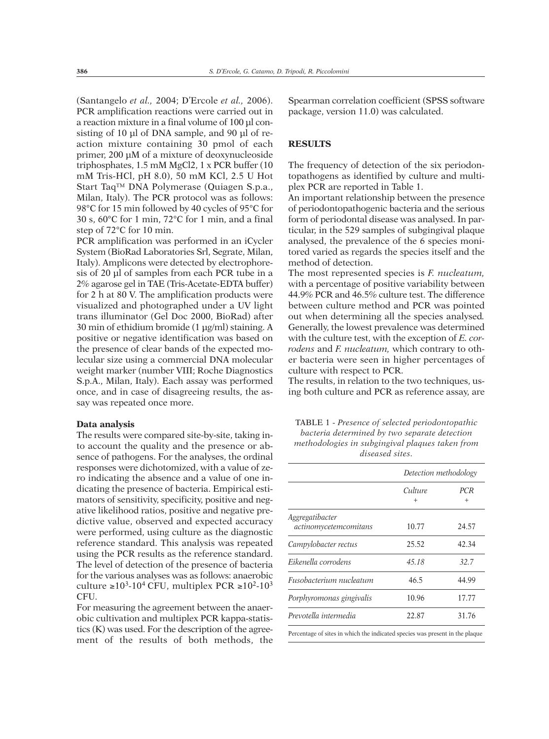(Santangelo *et al.,* 2004; D'Ercole *et al.,* 2006). PCR amplification reactions were carried out in a reaction mixture in a final volume of 100 µl consisting of 10 µl of DNA sample, and 90 µl of reaction mixture containing 30 pmol of each primer, 200 µM of a mixture of deoxynucleoside triphosphates, 1.5 mM MgCl2, 1 x PCR buffer (10 mM Tris-HCl, pH 8.0), 50 mM KCl, 2.5 U Hot Start Taq™ DNA Polymerase (Quiagen S.p.a., Milan, Italy). The PCR protocol was as follows: 98°C for 15 min followed by 40 cycles of 95°C for 30 s, 60°C for 1 min, 72°C for 1 min, and a final step of 72°C for 10 min.

PCR amplification was performed in an iCycler System (BioRad Laboratories Srl, Segrate, Milan, Italy). Amplicons were detected by electrophoresis of 20 µl of samples from each PCR tube in a 2% agarose gel in TAE (Tris-Acetate-EDTA buffer) for 2 h at 80 V. The amplification products were visualized and photographed under a UV light trans illuminator (Gel Doc 2000, BioRad) after 30 min of ethidium bromide (1 µg/ml) staining. A positive or negative identification was based on the presence of clear bands of the expected molecular size using a commercial DNA molecular weight marker (number VIII; Roche Diagnostics S.p.A., Milan, Italy). Each assay was performed once, and in case of disagreeing results, the assay was repeated once more.

#### **Data analysis**

The results were compared site-by-site, taking into account the quality and the presence or absence of pathogens. For the analyses, the ordinal responses were dichotomized, with a value of zero indicating the absence and a value of one indicating the presence of bacteria. Empirical estimators of sensitivity, specificity, positive and negative likelihood ratios, positive and negative predictive value, observed and expected accuracy were performed, using culture as the diagnostic reference standard. This analysis was repeated using the PCR results as the reference standard. The level of detection of the presence of bacteria for the various analyses was as follows: anaerobic culture  $\geq 10^3$ -10<sup>4</sup> CFU, multiplex PCR  $\geq 10^2$ -10<sup>3</sup> CFU.

For measuring the agreement between the anaerobic cultivation and multiplex PCR kappa-statistics (K) was used. For the description of the agreement of the results of both methods, the Spearman correlation coefficient (SPSS software package, version 11.0) was calculated.

# **RESULTS**

The frequency of detection of the six periodontopathogens as identified by culture and multiplex PCR are reported in Table 1.

An important relationship between the presence of periodontopathogenic bacteria and the serious form of periodontal disease was analysed. In particular, in the 529 samples of subgingival plaque analysed, the prevalence of the 6 species monitored varied as regards the species itself and the method of detection.

The most represented species is *F. nucleatum,* with a percentage of positive variability between 44.9% PCR and 46.5% culture test. The difference between culture method and PCR was pointed out when determining all the species analysed*.* Generally, the lowest prevalence was determined with the culture test, with the exception of *E. corrodens* and *F. nucleatum,* which contrary to other bacteria were seen in higher percentages of culture with respect to PCR.

The results, in relation to the two techniques, using both culture and PCR as reference assay, are

| <b>TABLE 1 - Presence of selected periodontopathic</b> |
|--------------------------------------------------------|
| bacteria determined by two separate detection          |
| methodologies in subgingival plaques taken from        |
| diseased sites.                                        |

|                                                                                                                 |                      | Detection methodology |
|-----------------------------------------------------------------------------------------------------------------|----------------------|-----------------------|
|                                                                                                                 | Culture<br>$\ddot{}$ | <b>PCR</b><br>$^{+}$  |
| Aggregatibacter<br>actinomycetemcomitans                                                                        | 10.77                | 24.57                 |
| Campylobacter rectus                                                                                            | 25.52                | 42.34                 |
| Eikenella corrodens                                                                                             | 45.18                | 32.7                  |
| Fusobacterium nucleatum                                                                                         | 46.5                 | 44.99                 |
| Porphyromonas gingivalis                                                                                        | 10.96                | 17.77                 |
| Prevotella intermedia                                                                                           | 22.87                | 31.76                 |
| the contract of the contract of the contract of the contract of the contract of the contract of the contract of |                      | $\cdots$ $\cdots$     |

Percentage of sites in which the indicated species was present in the plaque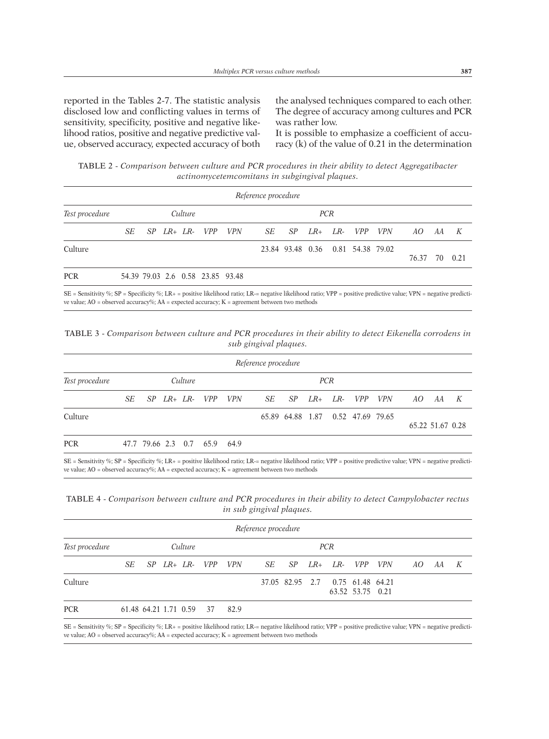reported in the Tables 2-7. The statistic analysis disclosed low and conflicting values in terms of sensitivity, specificity, positive and negative likelihood ratios, positive and negative predictive value, observed accuracy, expected accuracy of both

the analysed techniques compared to each other. The degree of accuracy among cultures and PCR was rather low.

It is possible to emphasize a coefficient of accuracy (k) of the value of 0.21 in the determination

TABLE 2 - *Comparison between culture and PCR procedures in their ability to detect Aggregatibacter actinomycetemcomitans in subgingival plaques.*

|                |                       |  |  |  |                                  |            | Reference procedure   |                                   |  |  |  |  |       |  |         |
|----------------|-----------------------|--|--|--|----------------------------------|------------|-----------------------|-----------------------------------|--|--|--|--|-------|--|---------|
| Test procedure | Culture<br><b>PCR</b> |  |  |  |                                  |            |                       |                                   |  |  |  |  |       |  |         |
|                | SE                    |  |  |  | SP LR+ LR- VPP                   | <i>VPN</i> | SE SP LR+ LR- VPP VPN |                                   |  |  |  |  | AO AA |  | K       |
| Culture        |                       |  |  |  |                                  |            |                       | 23.84 93.48 0.36 0.81 54.38 79.02 |  |  |  |  | 76.37 |  | 70 0.21 |
| <b>PCR</b>     |                       |  |  |  | 54.39 79.03 2.6 0.58 23.85 93.48 |            |                       |                                   |  |  |  |  |       |  |         |

SE = Sensitivity %; SP = Specificity %; LR+ = positive likelihood ratio; LR-= negative likelihood ratio; VPP = positive predictive value; VPN = negative predictive value; AO = observed accuracy%; AA = expected accuracy; K = agreement between two methods

TABLE 3 - *Comparison between culture and PCR procedures in their ability to detect Eikenella corrodens in sub gingival plaques.*

|                |    |  |         |                              | Reference procedure   |            |                                   |                  |   |
|----------------|----|--|---------|------------------------------|-----------------------|------------|-----------------------------------|------------------|---|
| Test procedure |    |  | Culture |                              |                       | <b>PCR</b> |                                   |                  |   |
|                | SE |  |         | $SP$ $LR+$ $LR VPP$ $VPN$    | SE SP LR+ LR- VPP VPN |            |                                   | AO AA            | K |
| Culture        |    |  |         |                              |                       |            | 65.89 64.88 1.87 0.52 47.69 79.65 | 65.22 51.67 0.28 |   |
| <b>PCR</b>     |    |  |         | 47.7 79.66 2.3 0.7 65.9 64.9 |                       |            |                                   |                  |   |

SE = Sensitivity %; SP = Specificity %; LR+ = positive likelihood ratio; LR-= negative likelihood ratio; VPP = positive predictive value; VPN = negative predictive value; AO = observed accuracy%; AA = expected accuracy; K = agreement between two methods

TABLE 4 - *Comparison between culture and PCR procedures in their ability to detect Campylobacter rectus in sub gingival plaques.*

|                |                       |                          |  |  |                       |      | Reference procedure           |  |  |                                  |                  |  |  |  |  |
|----------------|-----------------------|--------------------------|--|--|-----------------------|------|-------------------------------|--|--|----------------------------------|------------------|--|--|--|--|
| Test procedure | Culture<br><b>PCR</b> |                          |  |  |                       |      |                               |  |  |                                  |                  |  |  |  |  |
|                |                       |                          |  |  | SE SP LR+ LR- VPP VPN |      | SE SP LR+ LR- VPP VPN AO AA K |  |  |                                  |                  |  |  |  |  |
| Culture        |                       |                          |  |  |                       |      |                               |  |  | 37.05 82.95 2.7 0.75 61.48 64.21 | 63.52 53.75 0.21 |  |  |  |  |
| <b>PCR</b>     |                       | 61.48 64.21 1.71 0.59 37 |  |  |                       | 82.9 |                               |  |  |                                  |                  |  |  |  |  |

SE = Sensitivity %; SP = Specificity %; LR+ = positive likelihood ratio; LR-= negative likelihood ratio; VPP = positive predictive value; VPN = negative predictive value; AO = observed accuracy%; AA = expected accuracy; K = agreement between two methods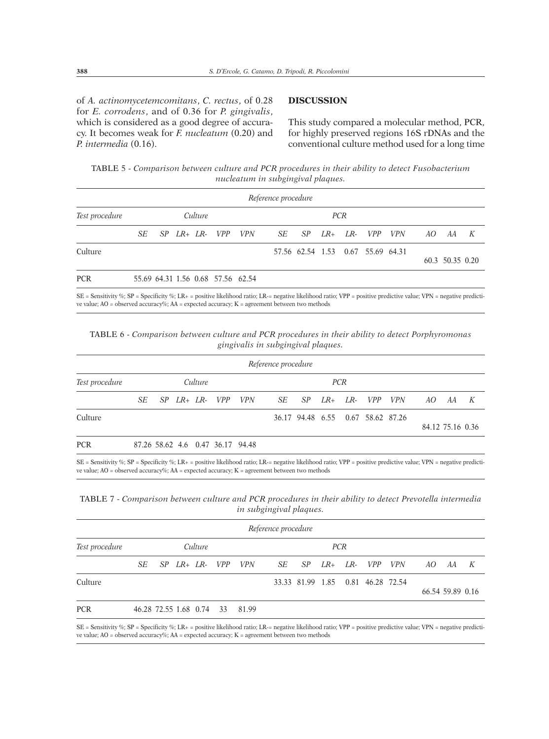of *A. actinomycetemcomitans*, *C. rectus*, of 0.28 for *E. corrodens*, and of 0.36 for *P. gingivalis*, which is considered as a good degree of accuracy. It becomes weak for *F. nucleatum* (0.20) and *P. intermedia* (0.16).

## **DISCUSSION**

This study compared a molecular method, PCR, for highly preserved regions 16S rDNAs and the conventional culture method used for a long time

TABLE 5 - *Comparison between culture and PCR procedures in their ability to detect Fusobacterium nucleatum in subgingival plaques.*

|                |    |  |         |                                   |            | Reference procedure   |                                   |  |  |  |  |    |                 |   |  |
|----------------|----|--|---------|-----------------------------------|------------|-----------------------|-----------------------------------|--|--|--|--|----|-----------------|---|--|
| Test procedure |    |  | Culture |                                   | <b>PCR</b> |                       |                                   |  |  |  |  |    |                 |   |  |
|                | SE |  |         | $SP$ $LR+$ $LR VPP$               | <i>VPN</i> | SE SP LR+ LR- VPP VPN |                                   |  |  |  |  | AO | AA              | K |  |
| Culture        |    |  |         |                                   |            |                       | 57.56 62.54 1.53 0.67 55.69 64.31 |  |  |  |  |    | 60.3 50.35 0.20 |   |  |
| <b>PCR</b>     |    |  |         | 55.69 64.31 1.56 0.68 57.56 62.54 |            |                       |                                   |  |  |  |  |    |                 |   |  |

SE = Sensitivity %; SP = Specificity %; LR+ = positive likelihood ratio; LR-= negative likelihood ratio; VPP = positive predictive value; VPN = negative predictive value; AO = observed accuracy%; AA = expected accuracy; K = agreement between two methods

TABLE 6 - *Comparison between culture and PCR procedures in their ability to detect Porphyromonas gingivalis in subgingival plaques.*

|                |    |  |         |                      |                                  | Reference procedure |                                   |  |             |            |                  |    |   |
|----------------|----|--|---------|----------------------|----------------------------------|---------------------|-----------------------------------|--|-------------|------------|------------------|----|---|
| Test procedure |    |  | Culture |                      |                                  |                     |                                   |  |             |            |                  |    |   |
|                | SE |  |         | $SP$ $LR + LR - VPP$ | <i>VPN</i>                       | SE SP               |                                   |  | LR+ LR- VPP | <i>VPN</i> | AO.              | AA | K |
| Culture        |    |  |         |                      |                                  |                     | 36.17 94.48 6.55 0.67 58.62 87.26 |  |             |            | 84.12 75.16 0.36 |    |   |
| <b>PCR</b>     |    |  |         |                      | 87.26 58.62 4.6 0.47 36.17 94.48 |                     |                                   |  |             |            |                  |    |   |

SE = Sensitivity %; SP = Specificity %; LR+ = positive likelihood ratio; LR-= negative likelihood ratio; VPP = positive predictive value; VPN = negative predictive value; AO = observed accuracy%; AA = expected accuracy; K = agreement between two methods

TABLE 7 - *Comparison between culture and PCR procedures in their ability to detect Prevotella intermedia in subgingival plaques.*

|                |    |  |         |                                | Reference procedure |     |             |                                   |            |     |                  |   |
|----------------|----|--|---------|--------------------------------|---------------------|-----|-------------|-----------------------------------|------------|-----|------------------|---|
| Test procedure |    |  | Culture |                                |                     |     |             |                                   |            |     |                  |   |
|                | SE |  |         | $SP$ $LR + LR - VPP$ $VPN$     | SE <sub>SE</sub>    | -SP | $LR+$ $LR-$ | <i>VPP</i>                        | <i>VPN</i> | AO. | AA               | K |
| Culture        |    |  |         |                                |                     |     |             | 33.33 81.99 1.85 0.81 46.28 72.54 |            |     | 66.54 59.89 0.16 |   |
| <b>PCR</b>     |    |  |         | 46.28 72.55 1.68 0.74 33 81.99 |                     |     |             |                                   |            |     |                  |   |

SE = Sensitivity %; SP = Specificity %; LR+ = positive likelihood ratio; LR-= negative likelihood ratio; VPP = positive predictive value; VPN = negative predictive value; AO = observed accuracy%; AA = expected accuracy; K = agreement between two methods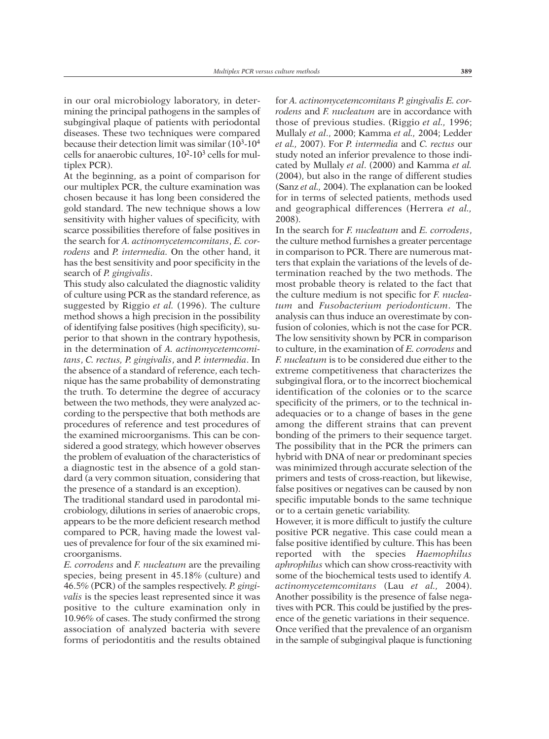in our oral microbiology laboratory, in determining the principal pathogens in the samples of subgingival plaque of patients with periodontal diseases. These two techniques were compared because their detection limit was similar  $(10^3-10^4)$ cells for anaerobic cultures,  $10^2$ - $10^3$  cells for multiplex PCR).

At the beginning, as a point of comparison for our multiplex PCR, the culture examination was chosen because it has long been considered the gold standard. The new technique shows a low sensitivity with higher values of specificity, with scarce possibilities therefore of false positives in the search for *A. actinomycetemcomitans*, *E. corrodens* and *P. intermedia.* On the other hand, it has the best sensitivity and poor specificity in the search of *P. gingivalis*.

This study also calculated the diagnostic validity of culture using PCR as the standard reference, as suggested by Riggio *et al.* (1996). The culture method shows a high precision in the possibility of identifying false positives (high specificity), superior to that shown in the contrary hypothesis, in the determination of *A. actinomycetemcomitans*, *C. rectus, P. gingivalis*, and *P. intermedia*. In the absence of a standard of reference, each technique has the same probability of demonstrating the truth. To determine the degree of accuracy between the two methods, they were analyzed according to the perspective that both methods are procedures of reference and test procedures of the examined microorganisms. This can be considered a good strategy, which however observes the problem of evaluation of the characteristics of a diagnostic test in the absence of a gold standard (a very common situation, considering that the presence of a standard is an exception).

The traditional standard used in parodontal microbiology, dilutions in series of anaerobic crops, appears to be the more deficient research method compared to PCR, having made the lowest values of prevalence for four of the six examined microorganisms.

*E. corrodens* and *F. nucleatum* are the prevailing species, being present in 45.18% (culture) and 46.5% (PCR) of the samples respectively. *P. gingivalis* is the species least represented since it was positive to the culture examination only in 10.96% of cases. The study confirmed the strong association of analyzed bacteria with severe forms of periodontitis and the results obtained

for *A. actinomycetemcomitans P. gingivalis E. corrodens* and *F. nucleatum* are in accordance with those of previous studies. (Riggio *et al.,* 1996; Mullaly *et al*., 2000; Kamma *et al.,* 2004; Ledder *et al.,* 2007). For *P. intermedia* and *C. rectus* our study noted an inferior prevalence to those indicated by Mullaly *et al*. (2000) and Kamma *et al.* (2004), but also in the range of different studies (Sanz *et al.,* 2004). The explanation can be looked for in terms of selected patients, methods used and geographical differences (Herrera *et al.,* 2008).

In the search for *F. nucleatum* and *E. corrodens*, the culture method furnishes a greater percentage in comparison to PCR. There are numerous matters that explain the variations of the levels of determination reached by the two methods. The most probable theory is related to the fact that the culture medium is not specific for *F. nucleatum* and *Fusobacterium periodonticum*. The analysis can thus induce an overestimate by confusion of colonies, which is not the case for PCR. The low sensitivity shown by PCR in comparison to culture, in the examination of *E. corrodens* and *F. nucleatum* is to be considered due either to the extreme competitiveness that characterizes the subgingival flora, or to the incorrect biochemical identification of the colonies or to the scarce specificity of the primers, or to the technical inadequacies or to a change of bases in the gene among the different strains that can prevent bonding of the primers to their sequence target. The possibility that in the PCR the primers can hybrid with DNA of near or predominant species was minimized through accurate selection of the primers and tests of cross-reaction, but likewise, false positives or negatives can be caused by non specific imputable bonds to the same technique or to a certain genetic variability.

However, it is more difficult to justify the culture positive PCR negative. This case could mean a false positive identified by culture. This has been reported with the species *Haemophilus aphrophilus* which can show cross-reactivity with some of the biochemical tests used to identify *A. actinomycetemcomitans* (Lau *et al.,* 2004). Another possibility is the presence of false negatives with PCR. This could be justified by the presence of the genetic variations in their sequence. Once verified that the prevalence of an organism in the sample of subgingival plaque is functioning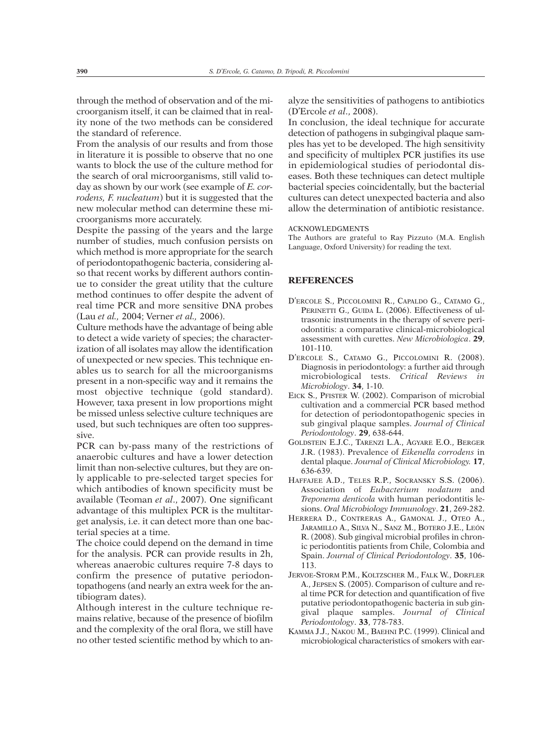through the method of observation and of the microorganism itself, it can be claimed that in reality none of the two methods can be considered the standard of reference.

From the analysis of our results and from those in literature it is possible to observe that no one wants to block the use of the culture method for the search of oral microorganisms, still valid today as shown by our work (see example of *E. corrodens, F. nucleatum*) but it is suggested that the new molecular method can determine these microorganisms more accurately.

Despite the passing of the years and the large number of studies, much confusion persists on which method is more appropriate for the search of periodontopathogenic bacteria, considering also that recent works by different authors continue to consider the great utility that the culture method continues to offer despite the advent of real time PCR and more sensitive DNA probes (Lau *et al.,* 2004; Verner *et al.,* 2006).

Culture methods have the advantage of being able to detect a wide variety of species; the characterization of all isolates may allow the identification of unexpected or new species. This technique enables us to search for all the microorganisms present in a non-specific way and it remains the most objective technique (gold standard). However, taxa present in low proportions might be missed unless selective culture techniques are used, but such techniques are often too suppressive.

PCR can by-pass many of the restrictions of anaerobic cultures and have a lower detection limit than non-selective cultures, but they are only applicable to pre-selected target species for which antibodies of known specificity must be available (Teoman *et al*., 2007). One significant advantage of this multiplex PCR is the multitarget analysis, i.e. it can detect more than one bacterial species at a time.

The choice could depend on the demand in time for the analysis. PCR can provide results in 2h, whereas anaerobic cultures require 7-8 days to confirm the presence of putative periodontopathogens (and nearly an extra week for the antibiogram dates).

Although interest in the culture technique remains relative, because of the presence of biofilm and the complexity of the oral flora, we still have no other tested scientific method by which to analyze the sensitivities of pathogens to antibiotics (D'Ercole *et al*., 2008).

In conclusion, the ideal technique for accurate detection of pathogens in subgingival plaque samples has yet to be developed. The high sensitivity and specificity of multiplex PCR justifies its use in epidemiological studies of periodontal diseases. Both these techniques can detect multiple bacterial species coincidentally, but the bacterial cultures can detect unexpected bacteria and also allow the determination of antibiotic resistance.

#### ACKNOWLEDGMENTS

The Authors are grateful to Ray Pizzuto (M.A. English Language, Oxford University) for reading the text.

## **REFERENCES**

- D'ERCOLE S., PICCOLOMINI R., CAPALDO G., CATAMO G., PERINETTI G., GUIDA L. (2006). Effectiveness of ultrasonic instruments in the therapy of severe periodontitis: a comparative clinical-microbiological assessment with curettes. *New Microbiologica*. **29**, 101-110.
- D'ERCOLE S., CATAMO G., PICCOLOMINI R. (2008). Diagnosis in periodontology: a further aid through microbiological tests. *Critical Reviews in Microbiology*. **34**, 1-10.
- EICK S., PFISTER W. (2002). Comparison of microbial cultivation and a commercial PCR based method for detection of periodontopathogenic species in sub gingival plaque samples. *Journal of Clinical Periodontology*. **29**, 638-644.
- GOLDSTEIN E.J.C., TARENZI L.A., AGYARE E.O., BERGER J.R. (1983). Prevalence of *Eikenella corrodens* in dental plaque. *Journal of Clinical Microbiology.* **17**, 636-639.
- HAFFAJEE A.D., TELES R.P., SOCRANSKY S.S. (2006). Association of *Eubacterium nodatum* and *Treponema denticola* with human periodontitis lesions. *Oral Microbiology Immunology*. **21**, 269-282.
- HERRERA D., CONTRERAS A., GAMONAL J., OTEO A., JARAMILLO A., SILVA N., SANZ M., BOTERO J.E., LEÓN R. (2008). Sub gingival microbial profiles in chronic periodontitis patients from Chile, Colombia and Spain. *Journal of Clinical Periodontology*. **35**, 106- 113.
- JERVOE-STORM P.M., KOLTZSCHER M., FALK W., DORFLER A., JEPSEN S. (2005). Comparison of culture and real time PCR for detection and quantification of five putative periodontopathogenic bacteria in sub gingival plaque samples. *Journal of Clinical Periodontology*. **33**, 778-783.
- KAMMA J.J., NAKOU M., BAEHNI P.C. (1999). Clinical and microbiological characteristics of smokers with ear-